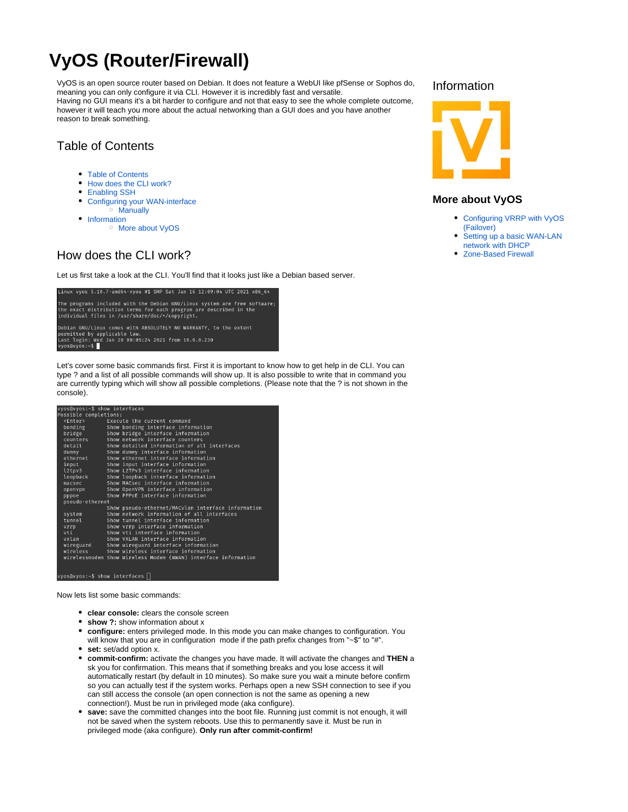# **VyOS (Router/Firewall)**

<span id="page-0-2"></span>VyOS is an open source router based on Debian. It does not feature a WebUI like pfSense or Sophos do, meaning you can only configure it via CLI. However it is incredibly fast and versatile. Having no GUI means it's a bit harder to configure and not that easy to see the whole complete outcome, however it will teach you more about the actual networking than a GUI does and you have another reason to break something.

# <span id="page-0-3"></span><span id="page-0-0"></span>Table of Contents

- [Table of Contents](#page-0-0)
- [How does the CLI work?](#page-0-1)
- **[Enabling SSH](#page-1-0)**
- [Configuring your WAN-interface](#page-1-1)
- [Manually](#page-1-2)
- [Information](#page-0-2)
	- <sup>o</sup> [More about VyOS](#page-0-3)

# <span id="page-0-1"></span>How does the CLI work?

Let us first take a look at the CLI. You'll find that it looks just like a Debian based server.



Let's cover some basic commands first. First it is important to know how to get help in de CLI. You can type ? and a list of all possible commands will show up. It is also possible to write that in command you are currently typing which will show all possible completions. (Please note that the ? is not shown in the console).

| vyos@vyos:∼\$ show interfaces         |                                                                |
|---------------------------------------|----------------------------------------------------------------|
| Possible completions:                 |                                                                |
| <enter></enter>                       | Execute the current command                                    |
| bonding                               | Show bonding interface information                             |
| bridge                                | Show bridge interface information                              |
| counters                              | Show network interface counters                                |
| detail                                | Show detailed information of all interfaces                    |
| dummy                                 | Show dummy interface information                               |
| ethernet                              | Show ethernet interface information                            |
| input                                 | Show input interface information                               |
| l2tpv3                                | Show L2TPv3 interface information                              |
| loopback                              | Show loopback interface information                            |
| macsec                                | Show MACsec interface information                              |
| openvpn                               | Show OpenVPN interface information                             |
| pppoe                                 | Show PPPoE interface information                               |
| pseudo-ethernet                       |                                                                |
|                                       | Show pseudo-ethernet/MACvlan interface information             |
| system                                | Show network information of all interfaces                     |
| tunnel                                | Show tunnel interface information                              |
| vrrp                                  | Show vrrp interface information                                |
| vti                                   | Show yti interface information                                 |
| vxlan                                 | Show VXLAN interface information                               |
| wireguard                             | Show wireguard interface information                           |
| wireless                              | Show wireless interface information                            |
|                                       | wirelessmodem Show Wireless Modem (WWAN) interface information |
|                                       |                                                                |
|                                       |                                                                |
| www.sawwaciata chawaintarfacas $\Box$ |                                                                |

Now lets list some basic commands:

- **clear console:** clears the console screen
- **show ?:** show information about x
- **configure:** enters privileged mode. In this mode you can make changes to configuration. You will know that you are in configuration mode if the path prefix changes from "~\$" to "#".
- **set:** set/add option x.
- **commit-confirm:** activate the changes you have made. It will activate the changes and **THEN** a sk you for confirmation. This means that if something breaks and you lose access it will automatically restart (by default in 10 minutes). So make sure you wait a minute before confirm so you can actually test if the system works. Perhaps open a new SSH connection to see if you can still access the console (an open connection is not the same as opening a new connection!). Must be run in privileged mode (aka configure).
- save: save the committed changes into the boot file. Running just commit is not enough, it will not be saved when the system reboots. Use this to permanently save it. Must be run in privileged mode (aka configure). **Only run after commit-confirm!**

#### Information



#### **More about VyOS**

- [Configuring VRRP with VyOS](https://wiki.iswleuven.be/pages/viewpage.action?pageId=55410761)  [\(Failover\)](https://wiki.iswleuven.be/pages/viewpage.action?pageId=55410761)
- [Setting up a basic WAN-LAN](https://wiki.iswleuven.be/display/iswpublic/Setting+up+a+basic+WAN-LAN+network+with+DHCP)  [network with DHCP](https://wiki.iswleuven.be/display/iswpublic/Setting+up+a+basic+WAN-LAN+network+with+DHCP)
- [Zone-Based Firewall](https://wiki.iswleuven.be/display/iswpublic/Zone-Based+Firewall)